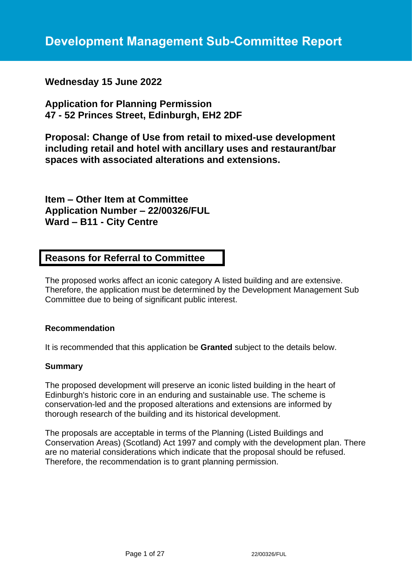**Wednesday 15 June 2022**

**Application for Planning Permission 47 - 52 Princes Street, Edinburgh, EH2 2DF**

**Proposal: Change of Use from retail to mixed-use development including retail and hotel with ancillary uses and restaurant/bar spaces with associated alterations and extensions.**

**Item – Other Item at Committee Application Number – 22/00326/FUL Ward – B11 - City Centre**

# **Reasons for Referral to Committee**

The proposed works affect an iconic category A listed building and are extensive. Therefore, the application must be determined by the Development Management Sub Committee due to being of significant public interest.

### **Recommendation**

It is recommended that this application be **Granted** subject to the details below.

#### **Summary**

The proposed development will preserve an iconic listed building in the heart of Edinburgh's historic core in an enduring and sustainable use. The scheme is conservation-led and the proposed alterations and extensions are informed by thorough research of the building and its historical development.

The proposals are acceptable in terms of the Planning (Listed Buildings and Conservation Areas) (Scotland) Act 1997 and comply with the development plan. There are no material considerations which indicate that the proposal should be refused. Therefore, the recommendation is to grant planning permission.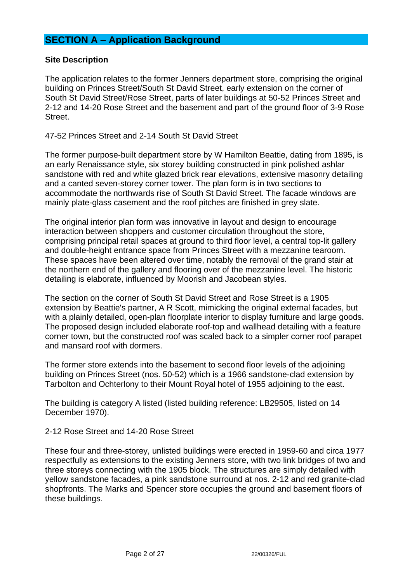# **SECTION A – Application Background**

## **Site Description**

The application relates to the former Jenners department store, comprising the original building on Princes Street/South St David Street, early extension on the corner of South St David Street/Rose Street, parts of later buildings at 50-52 Princes Street and 2-12 and 14-20 Rose Street and the basement and part of the ground floor of 3-9 Rose Street.

47-52 Princes Street and 2-14 South St David Street

The former purpose-built department store by W Hamilton Beattie, dating from 1895, is an early Renaissance style, six storey building constructed in pink polished ashlar sandstone with red and white glazed brick rear elevations, extensive masonry detailing and a canted seven-storey corner tower. The plan form is in two sections to accommodate the northwards rise of South St David Street. The facade windows are mainly plate-glass casement and the roof pitches are finished in grey slate.

The original interior plan form was innovative in layout and design to encourage interaction between shoppers and customer circulation throughout the store, comprising principal retail spaces at ground to third floor level, a central top-lit gallery and double-height entrance space from Princes Street with a mezzanine tearoom. These spaces have been altered over time, notably the removal of the grand stair at the northern end of the gallery and flooring over of the mezzanine level. The historic detailing is elaborate, influenced by Moorish and Jacobean styles.

The section on the corner of South St David Street and Rose Street is a 1905 extension by Beattie's partner, A R Scott, mimicking the original external facades, but with a plainly detailed, open-plan floorplate interior to display furniture and large goods. The proposed design included elaborate roof-top and wallhead detailing with a feature corner town, but the constructed roof was scaled back to a simpler corner roof parapet and mansard roof with dormers.

The former store extends into the basement to second floor levels of the adjoining building on Princes Street (nos. 50-52) which is a 1966 sandstone-clad extension by Tarbolton and Ochterlony to their Mount Royal hotel of 1955 adjoining to the east.

The building is category A listed (listed building reference: LB29505, listed on 14 December 1970).

#### 2-12 Rose Street and 14-20 Rose Street

These four and three-storey, unlisted buildings were erected in 1959-60 and circa 1977 respectfully as extensions to the existing Jenners store, with two link bridges of two and three storeys connecting with the 1905 block. The structures are simply detailed with yellow sandstone facades, a pink sandstone surround at nos. 2-12 and red granite-clad shopfronts. The Marks and Spencer store occupies the ground and basement floors of these buildings.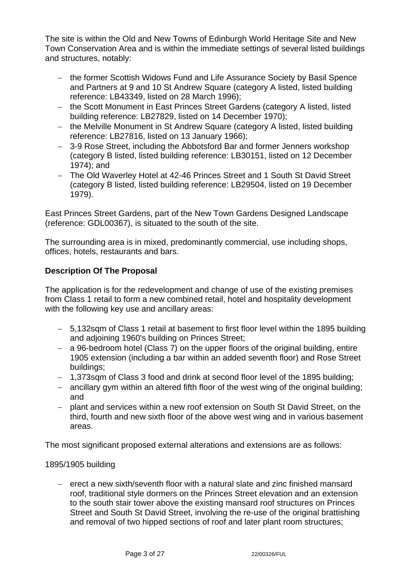The site is within the Old and New Towns of Edinburgh World Heritage Site and New Town Conservation Area and is within the immediate settings of several listed buildings and structures, notably:

- − the former Scottish Widows Fund and Life Assurance Society by Basil Spence and Partners at 9 and 10 St Andrew Square (category A listed, listed building reference: LB43349, listed on 28 March 1996);
- − the Scott Monument in East Princes Street Gardens (category A listed, listed building reference: LB27829, listed on 14 December 1970);
- − the Melville Monument in St Andrew Square (category A listed, listed building reference: LB27816, listed on 13 January 1966);
- − 3-9 Rose Street, including the Abbotsford Bar and former Jenners workshop (category B listed, listed building reference: LB30151, listed on 12 December 1974); and
- − The Old Waverley Hotel at 42-46 Princes Street and 1 South St David Street (category B listed, listed building reference: LB29504, listed on 19 December 1979).

East Princes Street Gardens, part of the New Town Gardens Designed Landscape (reference: GDL00367), is situated to the south of the site.

The surrounding area is in mixed, predominantly commercial, use including shops, offices, hotels, restaurants and bars.

## **Description Of The Proposal**

The application is for the redevelopment and change of use of the existing premises from Class 1 retail to form a new combined retail, hotel and hospitality development with the following key use and ancillary areas:

- − 5,132sqm of Class 1 retail at basement to first floor level within the 1895 building and adjoining 1960's building on Princes Street;
- − a 96-bedroom hotel (Class 7) on the upper floors of the original building, entire 1905 extension (including a bar within an added seventh floor) and Rose Street buildings;
- − 1,373sqm of Class 3 food and drink at second floor level of the 1895 building;
- − ancillary gym within an altered fifth floor of the west wing of the original building; and
- − plant and services within a new roof extension on South St David Street, on the third, fourth and new sixth floor of the above west wing and in various basement areas.

The most significant proposed external alterations and extensions are as follows:

### 1895/1905 building

− erect a new sixth/seventh floor with a natural slate and zinc finished mansard roof, traditional style dormers on the Princes Street elevation and an extension to the south stair tower above the existing mansard roof structures on Princes Street and South St David Street, involving the re-use of the original brattishing and removal of two hipped sections of roof and later plant room structures;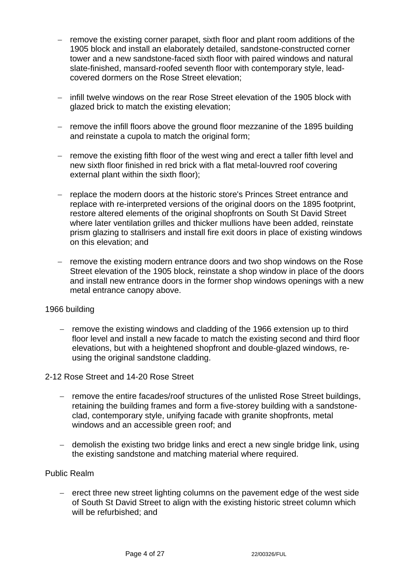- − remove the existing corner parapet, sixth floor and plant room additions of the 1905 block and install an elaborately detailed, sandstone-constructed corner tower and a new sandstone-faced sixth floor with paired windows and natural slate-finished, mansard-roofed seventh floor with contemporary style, leadcovered dormers on the Rose Street elevation;
- − infill twelve windows on the rear Rose Street elevation of the 1905 block with glazed brick to match the existing elevation;
- − remove the infill floors above the ground floor mezzanine of the 1895 building and reinstate a cupola to match the original form;
- − remove the existing fifth floor of the west wing and erect a taller fifth level and new sixth floor finished in red brick with a flat metal-louvred roof covering external plant within the sixth floor);
- − replace the modern doors at the historic store's Princes Street entrance and replace with re-interpreted versions of the original doors on the 1895 footprint, restore altered elements of the original shopfronts on South St David Street where later ventilation grilles and thicker mullions have been added, reinstate prism glazing to stallrisers and install fire exit doors in place of existing windows on this elevation; and
- − remove the existing modern entrance doors and two shop windows on the Rose Street elevation of the 1905 block, reinstate a shop window in place of the doors and install new entrance doors in the former shop windows openings with a new metal entrance canopy above.

### 1966 building

- − remove the existing windows and cladding of the 1966 extension up to third floor level and install a new facade to match the existing second and third floor elevations, but with a heightened shopfront and double-glazed windows, reusing the original sandstone cladding.
- 2-12 Rose Street and 14-20 Rose Street
	- remove the entire facades/roof structures of the unlisted Rose Street buildings, retaining the building frames and form a five-storey building with a sandstoneclad, contemporary style, unifying facade with granite shopfronts, metal windows and an accessible green roof; and
	- − demolish the existing two bridge links and erect a new single bridge link, using the existing sandstone and matching material where required.

### Public Realm

erect three new street lighting columns on the pavement edge of the west side of South St David Street to align with the existing historic street column which will be refurbished; and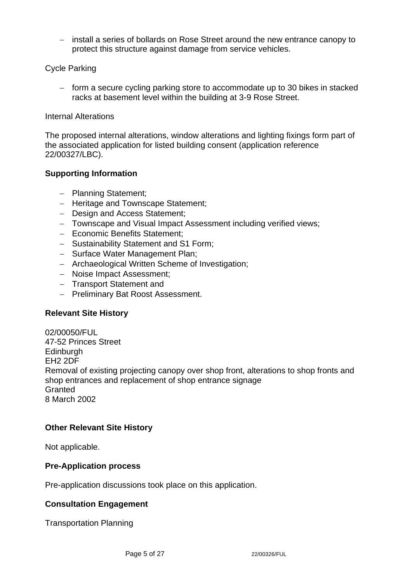− install a series of bollards on Rose Street around the new entrance canopy to protect this structure against damage from service vehicles.

## Cycle Parking

− form a secure cycling parking store to accommodate up to 30 bikes in stacked racks at basement level within the building at 3-9 Rose Street.

#### Internal Alterations

The proposed internal alterations, window alterations and lighting fixings form part of the associated application for listed building consent (application reference 22/00327/LBC).

### **Supporting Information**

- − Planning Statement;
- − Heritage and Townscape Statement;
- − Design and Access Statement;
- − Townscape and Visual Impact Assessment including verified views;
- − Economic Benefits Statement;
- − Sustainability Statement and S1 Form;
- − Surface Water Management Plan;
- − Archaeological Written Scheme of Investigation;
- − Noise Impact Assessment;
- − Transport Statement and
- − Preliminary Bat Roost Assessment.

#### **Relevant Site History**

02/00050/FUL 47-52 Princes Street **Edinburgh** EH2 2DF Removal of existing projecting canopy over shop front, alterations to shop fronts and shop entrances and replacement of shop entrance signage **Granted** 8 March 2002

### **Other Relevant Site History**

Not applicable.

#### **Pre-Application process**

Pre-application discussions took place on this application.

### **Consultation Engagement**

Transportation Planning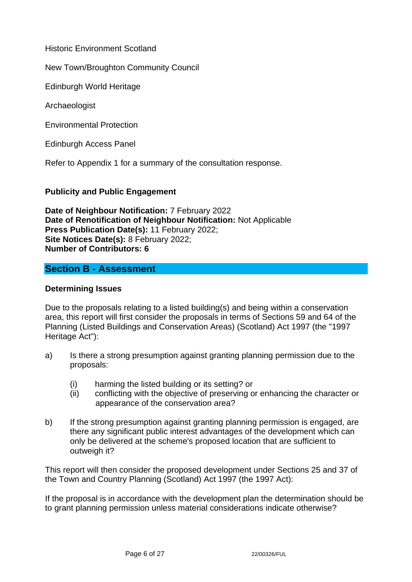Historic Environment Scotland

New Town/Broughton Community Council

Edinburgh World Heritage

Archaeologist

Environmental Protection

Edinburgh Access Panel

Refer to Appendix 1 for a summary of the consultation response.

### **Publicity and Public Engagement**

**Date of Neighbour Notification:** 7 February 2022 **Date of Renotification of Neighbour Notification:** Not Applicable **Press Publication Date(s):** 11 February 2022; **Site Notices Date(s):** 8 February 2022; **Number of Contributors: 6**

## **Section B - Assessment**

#### **Determining Issues**

Due to the proposals relating to a listed building(s) and being within a conservation area, this report will first consider the proposals in terms of Sections 59 and 64 of the Planning (Listed Buildings and Conservation Areas) (Scotland) Act 1997 (the "1997 Heritage Act"):

- a) Is there a strong presumption against granting planning permission due to the proposals:
	- (i) harming the listed building or its setting? or
	- (ii) conflicting with the objective of preserving or enhancing the character or appearance of the conservation area?
- b) If the strong presumption against granting planning permission is engaged, are there any significant public interest advantages of the development which can only be delivered at the scheme's proposed location that are sufficient to outweigh it?

This report will then consider the proposed development under Sections 25 and 37 of the Town and Country Planning (Scotland) Act 1997 (the 1997 Act):

If the proposal is in accordance with the development plan the determination should be to grant planning permission unless material considerations indicate otherwise?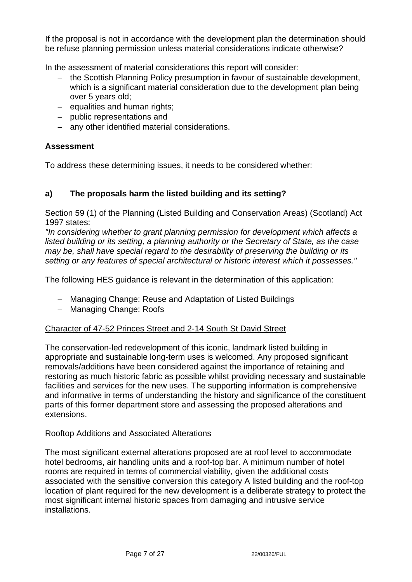If the proposal is not in accordance with the development plan the determination should be refuse planning permission unless material considerations indicate otherwise?

In the assessment of material considerations this report will consider:

- − the Scottish Planning Policy presumption in favour of sustainable development, which is a significant material consideration due to the development plan being over 5 years old;
- − equalities and human rights;
- − public representations and
- − any other identified material considerations.

## **Assessment**

To address these determining issues, it needs to be considered whether:

# **a) The proposals harm the listed building and its setting?**

Section 59 (1) of the Planning (Listed Building and Conservation Areas) (Scotland) Act 1997 states:

*"In considering whether to grant planning permission for development which affects a listed building or its setting, a planning authority or the Secretary of State, as the case may be, shall have special regard to the desirability of preserving the building or its setting or any features of special architectural or historic interest which it possesses."*

The following HES guidance is relevant in the determination of this application:

- − Managing Change: Reuse and Adaptation of Listed Buildings
- − Managing Change: Roofs

## Character of 47-52 Princes Street and 2-14 South St David Street

The conservation-led redevelopment of this iconic, landmark listed building in appropriate and sustainable long-term uses is welcomed. Any proposed significant removals/additions have been considered against the importance of retaining and restoring as much historic fabric as possible whilst providing necessary and sustainable facilities and services for the new uses. The supporting information is comprehensive and informative in terms of understanding the history and significance of the constituent parts of this former department store and assessing the proposed alterations and extensions.

## Rooftop Additions and Associated Alterations

The most significant external alterations proposed are at roof level to accommodate hotel bedrooms, air handling units and a roof-top bar. A minimum number of hotel rooms are required in terms of commercial viability, given the additional costs associated with the sensitive conversion this category A listed building and the roof-top location of plant required for the new development is a deliberate strategy to protect the most significant internal historic spaces from damaging and intrusive service installations.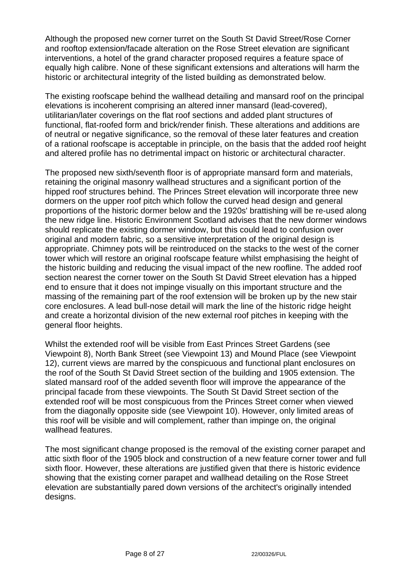Although the proposed new corner turret on the South St David Street/Rose Corner and rooftop extension/facade alteration on the Rose Street elevation are significant interventions, a hotel of the grand character proposed requires a feature space of equally high calibre. None of these significant extensions and alterations will harm the historic or architectural integrity of the listed building as demonstrated below.

The existing roofscape behind the wallhead detailing and mansard roof on the principal elevations is incoherent comprising an altered inner mansard (lead-covered), utilitarian/later coverings on the flat roof sections and added plant structures of functional, flat-roofed form and brick/render finish. These alterations and additions are of neutral or negative significance, so the removal of these later features and creation of a rational roofscape is acceptable in principle, on the basis that the added roof height and altered profile has no detrimental impact on historic or architectural character.

The proposed new sixth/seventh floor is of appropriate mansard form and materials, retaining the original masonry wallhead structures and a significant portion of the hipped roof structures behind. The Princes Street elevation will incorporate three new dormers on the upper roof pitch which follow the curved head design and general proportions of the historic dormer below and the 1920s' brattishing will be re-used along the new ridge line. Historic Environment Scotland advises that the new dormer windows should replicate the existing dormer window, but this could lead to confusion over original and modern fabric, so a sensitive interpretation of the original design is appropriate. Chimney pots will be reintroduced on the stacks to the west of the corner tower which will restore an original roofscape feature whilst emphasising the height of the historic building and reducing the visual impact of the new roofline. The added roof section nearest the corner tower on the South St David Street elevation has a hipped end to ensure that it does not impinge visually on this important structure and the massing of the remaining part of the roof extension will be broken up by the new stair core enclosures. A lead bull-nose detail will mark the line of the historic ridge height and create a horizontal division of the new external roof pitches in keeping with the general floor heights.

Whilst the extended roof will be visible from East Princes Street Gardens (see Viewpoint 8), North Bank Street (see Viewpoint 13) and Mound Place (see Viewpoint 12), current views are marred by the conspicuous and functional plant enclosures on the roof of the South St David Street section of the building and 1905 extension. The slated mansard roof of the added seventh floor will improve the appearance of the principal facade from these viewpoints. The South St David Street section of the extended roof will be most conspicuous from the Princes Street corner when viewed from the diagonally opposite side (see Viewpoint 10). However, only limited areas of this roof will be visible and will complement, rather than impinge on, the original wallhead features.

The most significant change proposed is the removal of the existing corner parapet and attic sixth floor of the 1905 block and construction of a new feature corner tower and full sixth floor. However, these alterations are justified given that there is historic evidence showing that the existing corner parapet and wallhead detailing on the Rose Street elevation are substantially pared down versions of the architect's originally intended desians.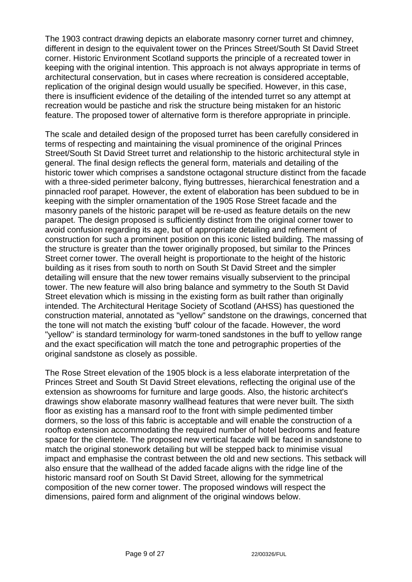The 1903 contract drawing depicts an elaborate masonry corner turret and chimney, different in design to the equivalent tower on the Princes Street/South St David Street corner. Historic Environment Scotland supports the principle of a recreated tower in keeping with the original intention. This approach is not always appropriate in terms of architectural conservation, but in cases where recreation is considered acceptable, replication of the original design would usually be specified. However, in this case, there is insufficient evidence of the detailing of the intended turret so any attempt at recreation would be pastiche and risk the structure being mistaken for an historic feature. The proposed tower of alternative form is therefore appropriate in principle.

The scale and detailed design of the proposed turret has been carefully considered in terms of respecting and maintaining the visual prominence of the original Princes Street/South St David Street turret and relationship to the historic architectural style in general. The final design reflects the general form, materials and detailing of the historic tower which comprises a sandstone octagonal structure distinct from the facade with a three-sided perimeter balcony, flying buttresses, hierarchical fenestration and a pinnacled roof parapet. However, the extent of elaboration has been subdued to be in keeping with the simpler ornamentation of the 1905 Rose Street facade and the masonry panels of the historic parapet will be re-used as feature details on the new parapet. The design proposed is sufficiently distinct from the original corner tower to avoid confusion regarding its age, but of appropriate detailing and refinement of construction for such a prominent position on this iconic listed building. The massing of the structure is greater than the tower originally proposed, but similar to the Princes Street corner tower. The overall height is proportionate to the height of the historic building as it rises from south to north on South St David Street and the simpler detailing will ensure that the new tower remains visually subservient to the principal tower. The new feature will also bring balance and symmetry to the South St David Street elevation which is missing in the existing form as built rather than originally intended. The Architectural Heritage Society of Scotland (AHSS) has questioned the construction material, annotated as "yellow" sandstone on the drawings, concerned that the tone will not match the existing 'buff' colour of the facade. However, the word "yellow" is standard terminology for warm-toned sandstones in the buff to yellow range and the exact specification will match the tone and petrographic properties of the original sandstone as closely as possible.

The Rose Street elevation of the 1905 block is a less elaborate interpretation of the Princes Street and South St David Street elevations, reflecting the original use of the extension as showrooms for furniture and large goods. Also, the historic architect's drawings show elaborate masonry wallhead features that were never built. The sixth floor as existing has a mansard roof to the front with simple pedimented timber dormers, so the loss of this fabric is acceptable and will enable the construction of a rooftop extension accommodating the required number of hotel bedrooms and feature space for the clientele. The proposed new vertical facade will be faced in sandstone to match the original stonework detailing but will be stepped back to minimise visual impact and emphasise the contrast between the old and new sections. This setback will also ensure that the wallhead of the added facade aligns with the ridge line of the historic mansard roof on South St David Street, allowing for the symmetrical composition of the new corner tower. The proposed windows will respect the dimensions, paired form and alignment of the original windows below.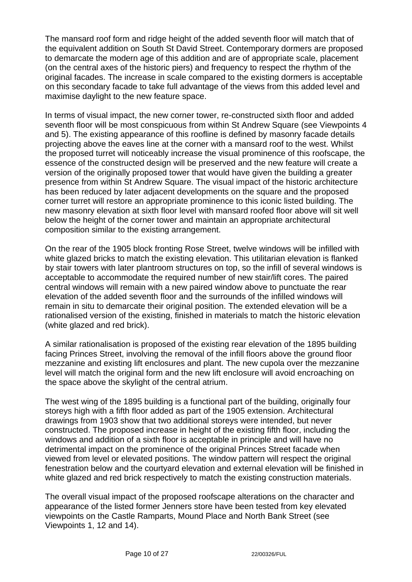The mansard roof form and ridge height of the added seventh floor will match that of the equivalent addition on South St David Street. Contemporary dormers are proposed to demarcate the modern age of this addition and are of appropriate scale, placement (on the central axes of the historic piers) and frequency to respect the rhythm of the original facades. The increase in scale compared to the existing dormers is acceptable on this secondary facade to take full advantage of the views from this added level and maximise daylight to the new feature space.

In terms of visual impact, the new corner tower, re-constructed sixth floor and added seventh floor will be most conspicuous from within St Andrew Square (see Viewpoints 4 and 5). The existing appearance of this roofline is defined by masonry facade details projecting above the eaves line at the corner with a mansard roof to the west. Whilst the proposed turret will noticeably increase the visual prominence of this roofscape, the essence of the constructed design will be preserved and the new feature will create a version of the originally proposed tower that would have given the building a greater presence from within St Andrew Square. The visual impact of the historic architecture has been reduced by later adjacent developments on the square and the proposed corner turret will restore an appropriate prominence to this iconic listed building. The new masonry elevation at sixth floor level with mansard roofed floor above will sit well below the height of the corner tower and maintain an appropriate architectural composition similar to the existing arrangement.

On the rear of the 1905 block fronting Rose Street, twelve windows will be infilled with white glazed bricks to match the existing elevation. This utilitarian elevation is flanked by stair towers with later plantroom structures on top, so the infill of several windows is acceptable to accommodate the required number of new stair/lift cores. The paired central windows will remain with a new paired window above to punctuate the rear elevation of the added seventh floor and the surrounds of the infilled windows will remain in situ to demarcate their original position. The extended elevation will be a rationalised version of the existing, finished in materials to match the historic elevation (white glazed and red brick).

A similar rationalisation is proposed of the existing rear elevation of the 1895 building facing Princes Street, involving the removal of the infill floors above the ground floor mezzanine and existing lift enclosures and plant. The new cupola over the mezzanine level will match the original form and the new lift enclosure will avoid encroaching on the space above the skylight of the central atrium.

The west wing of the 1895 building is a functional part of the building, originally four storeys high with a fifth floor added as part of the 1905 extension. Architectural drawings from 1903 show that two additional storeys were intended, but never constructed. The proposed increase in height of the existing fifth floor, including the windows and addition of a sixth floor is acceptable in principle and will have no detrimental impact on the prominence of the original Princes Street facade when viewed from level or elevated positions. The window pattern will respect the original fenestration below and the courtyard elevation and external elevation will be finished in white glazed and red brick respectively to match the existing construction materials.

The overall visual impact of the proposed roofscape alterations on the character and appearance of the listed former Jenners store have been tested from key elevated viewpoints on the Castle Ramparts, Mound Place and North Bank Street (see Viewpoints 1, 12 and 14).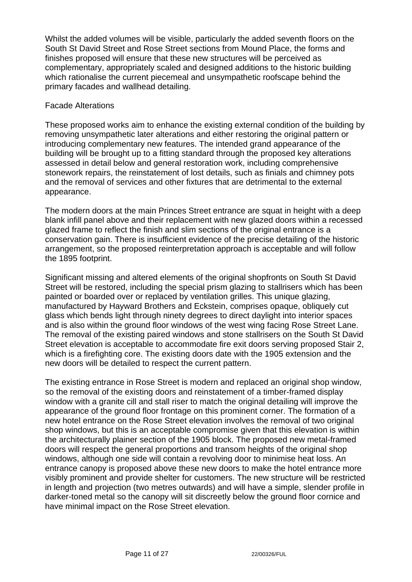Whilst the added volumes will be visible, particularly the added seventh floors on the South St David Street and Rose Street sections from Mound Place, the forms and finishes proposed will ensure that these new structures will be perceived as complementary, appropriately scaled and designed additions to the historic building which rationalise the current piecemeal and unsympathetic roofscape behind the primary facades and wallhead detailing.

## Facade Alterations

These proposed works aim to enhance the existing external condition of the building by removing unsympathetic later alterations and either restoring the original pattern or introducing complementary new features. The intended grand appearance of the building will be brought up to a fitting standard through the proposed key alterations assessed in detail below and general restoration work, including comprehensive stonework repairs, the reinstatement of lost details, such as finials and chimney pots and the removal of services and other fixtures that are detrimental to the external appearance.

The modern doors at the main Princes Street entrance are squat in height with a deep blank infill panel above and their replacement with new glazed doors within a recessed glazed frame to reflect the finish and slim sections of the original entrance is a conservation gain. There is insufficient evidence of the precise detailing of the historic arrangement, so the proposed reinterpretation approach is acceptable and will follow the 1895 footprint.

Significant missing and altered elements of the original shopfronts on South St David Street will be restored, including the special prism glazing to stallrisers which has been painted or boarded over or replaced by ventilation grilles. This unique glazing, manufactured by Hayward Brothers and Eckstein, comprises opaque, obliquely cut glass which bends light through ninety degrees to direct daylight into interior spaces and is also within the ground floor windows of the west wing facing Rose Street Lane. The removal of the existing paired windows and stone stallrisers on the South St David Street elevation is acceptable to accommodate fire exit doors serving proposed Stair 2, which is a firefighting core. The existing doors date with the 1905 extension and the new doors will be detailed to respect the current pattern.

The existing entrance in Rose Street is modern and replaced an original shop window, so the removal of the existing doors and reinstatement of a timber-framed display window with a granite cill and stall riser to match the original detailing will improve the appearance of the ground floor frontage on this prominent corner. The formation of a new hotel entrance on the Rose Street elevation involves the removal of two original shop windows, but this is an acceptable compromise given that this elevation is within the architecturally plainer section of the 1905 block. The proposed new metal-framed doors will respect the general proportions and transom heights of the original shop windows, although one side will contain a revolving door to minimise heat loss. An entrance canopy is proposed above these new doors to make the hotel entrance more visibly prominent and provide shelter for customers. The new structure will be restricted in length and projection (two metres outwards) and will have a simple, slender profile in darker-toned metal so the canopy will sit discreetly below the ground floor cornice and have minimal impact on the Rose Street elevation.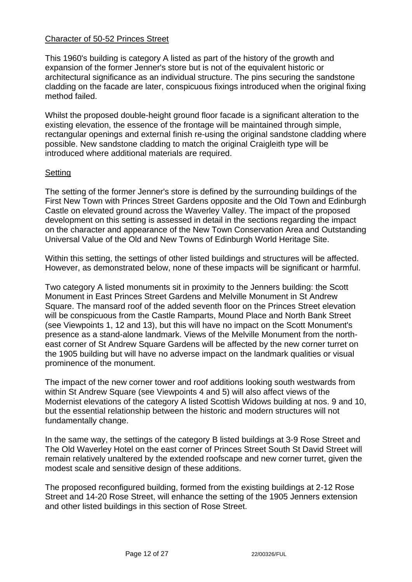### Character of 50-52 Princes Street

This 1960's building is category A listed as part of the history of the growth and expansion of the former Jenner's store but is not of the equivalent historic or architectural significance as an individual structure. The pins securing the sandstone cladding on the facade are later, conspicuous fixings introduced when the original fixing method failed.

Whilst the proposed double-height ground floor facade is a significant alteration to the existing elevation, the essence of the frontage will be maintained through simple, rectangular openings and external finish re-using the original sandstone cladding where possible. New sandstone cladding to match the original Craigleith type will be introduced where additional materials are required.

## **Setting**

The setting of the former Jenner's store is defined by the surrounding buildings of the First New Town with Princes Street Gardens opposite and the Old Town and Edinburgh Castle on elevated ground across the Waverley Valley. The impact of the proposed development on this setting is assessed in detail in the sections regarding the impact on the character and appearance of the New Town Conservation Area and Outstanding Universal Value of the Old and New Towns of Edinburgh World Heritage Site.

Within this setting, the settings of other listed buildings and structures will be affected. However, as demonstrated below, none of these impacts will be significant or harmful.

Two category A listed monuments sit in proximity to the Jenners building: the Scott Monument in East Princes Street Gardens and Melville Monument in St Andrew Square. The mansard roof of the added seventh floor on the Princes Street elevation will be conspicuous from the Castle Ramparts, Mound Place and North Bank Street (see Viewpoints 1, 12 and 13), but this will have no impact on the Scott Monument's presence as a stand-alone landmark. Views of the Melville Monument from the northeast corner of St Andrew Square Gardens will be affected by the new corner turret on the 1905 building but will have no adverse impact on the landmark qualities or visual prominence of the monument.

The impact of the new corner tower and roof additions looking south westwards from within St Andrew Square (see Viewpoints 4 and 5) will also affect views of the Modernist elevations of the category A listed Scottish Widows building at nos. 9 and 10, but the essential relationship between the historic and modern structures will not fundamentally change.

In the same way, the settings of the category B listed buildings at 3-9 Rose Street and The Old Waverley Hotel on the east corner of Princes Street South St David Street will remain relatively unaltered by the extended roofscape and new corner turret, given the modest scale and sensitive design of these additions.

The proposed reconfigured building, formed from the existing buildings at 2-12 Rose Street and 14-20 Rose Street, will enhance the setting of the 1905 Jenners extension and other listed buildings in this section of Rose Street.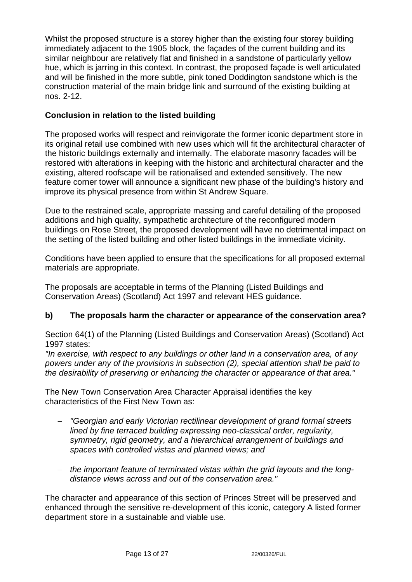Whilst the proposed structure is a storey higher than the existing four storey building immediately adjacent to the 1905 block, the façades of the current building and its similar neighbour are relatively flat and finished in a sandstone of particularly yellow hue, which is jarring in this context. In contrast, the proposed façade is well articulated and will be finished in the more subtle, pink toned Doddington sandstone which is the construction material of the main bridge link and surround of the existing building at nos. 2-12.

## **Conclusion in relation to the listed building**

The proposed works will respect and reinvigorate the former iconic department store in its original retail use combined with new uses which will fit the architectural character of the historic buildings externally and internally. The elaborate masonry facades will be restored with alterations in keeping with the historic and architectural character and the existing, altered roofscape will be rationalised and extended sensitively. The new feature corner tower will announce a significant new phase of the building's history and improve its physical presence from within St Andrew Square.

Due to the restrained scale, appropriate massing and careful detailing of the proposed additions and high quality, sympathetic architecture of the reconfigured modern buildings on Rose Street, the proposed development will have no detrimental impact on the setting of the listed building and other listed buildings in the immediate vicinity.

Conditions have been applied to ensure that the specifications for all proposed external materials are appropriate.

The proposals are acceptable in terms of the Planning (Listed Buildings and Conservation Areas) (Scotland) Act 1997 and relevant HES guidance.

## **b) The proposals harm the character or appearance of the conservation area?**

Section 64(1) of the Planning (Listed Buildings and Conservation Areas) (Scotland) Act 1997 states:

*"In exercise, with respect to any buildings or other land in a conservation area, of any powers under any of the provisions in subsection (2), special attention shall be paid to the desirability of preserving or enhancing the character or appearance of that area."*

The New Town Conservation Area Character Appraisal identifies the key characteristics of the First New Town as:

- − *"Georgian and early Victorian rectilinear development of grand formal streets lined by fine terraced building expressing neo-classical order, regularity, symmetry, rigid geometry, and a hierarchical arrangement of buildings and spaces with controlled vistas and planned views; and*
- − *the important feature of terminated vistas within the grid layouts and the longdistance views across and out of the conservation area."*

The character and appearance of this section of Princes Street will be preserved and enhanced through the sensitive re-development of this iconic, category A listed former department store in a sustainable and viable use.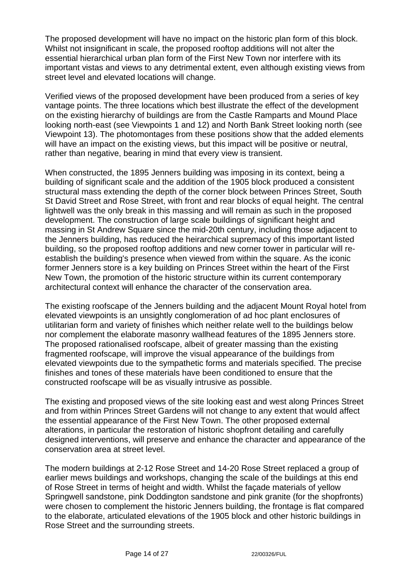The proposed development will have no impact on the historic plan form of this block. Whilst not insignificant in scale, the proposed rooftop additions will not alter the essential hierarchical urban plan form of the First New Town nor interfere with its important vistas and views to any detrimental extent, even although existing views from street level and elevated locations will change.

Verified views of the proposed development have been produced from a series of key vantage points. The three locations which best illustrate the effect of the development on the existing hierarchy of buildings are from the Castle Ramparts and Mound Place looking north-east (see Viewpoints 1 and 12) and North Bank Street looking north (see Viewpoint 13). The photomontages from these positions show that the added elements will have an impact on the existing views, but this impact will be positive or neutral, rather than negative, bearing in mind that every view is transient.

When constructed, the 1895 Jenners building was imposing in its context, being a building of significant scale and the addition of the 1905 block produced a consistent structural mass extending the depth of the corner block between Princes Street, South St David Street and Rose Street, with front and rear blocks of equal height. The central lightwell was the only break in this massing and will remain as such in the proposed development. The construction of large scale buildings of significant height and massing in St Andrew Square since the mid-20th century, including those adjacent to the Jenners building, has reduced the heirarchical supremacy of this important listed building, so the proposed rooftop additions and new corner tower in particular will reestablish the building's presence when viewed from within the square. As the iconic former Jenners store is a key building on Princes Street within the heart of the First New Town, the promotion of the historic structure within its current contemporary architectural context will enhance the character of the conservation area.

The existing roofscape of the Jenners building and the adjacent Mount Royal hotel from elevated viewpoints is an unsightly conglomeration of ad hoc plant enclosures of utilitarian form and variety of finishes which neither relate well to the buildings below nor complement the elaborate masonry wallhead features of the 1895 Jenners store. The proposed rationalised roofscape, albeit of greater massing than the existing fragmented roofscape, will improve the visual appearance of the buildings from elevated viewpoints due to the sympathetic forms and materials specified. The precise finishes and tones of these materials have been conditioned to ensure that the constructed roofscape will be as visually intrusive as possible.

The existing and proposed views of the site looking east and west along Princes Street and from within Princes Street Gardens will not change to any extent that would affect the essential appearance of the First New Town. The other proposed external alterations, in particular the restoration of historic shopfront detailing and carefully designed interventions, will preserve and enhance the character and appearance of the conservation area at street level.

The modern buildings at 2-12 Rose Street and 14-20 Rose Street replaced a group of earlier mews buildings and workshops, changing the scale of the buildings at this end of Rose Street in terms of height and width. Whilst the façade materials of yellow Springwell sandstone, pink Doddington sandstone and pink granite (for the shopfronts) were chosen to complement the historic Jenners building, the frontage is flat compared to the elaborate, articulated elevations of the 1905 block and other historic buildings in Rose Street and the surrounding streets.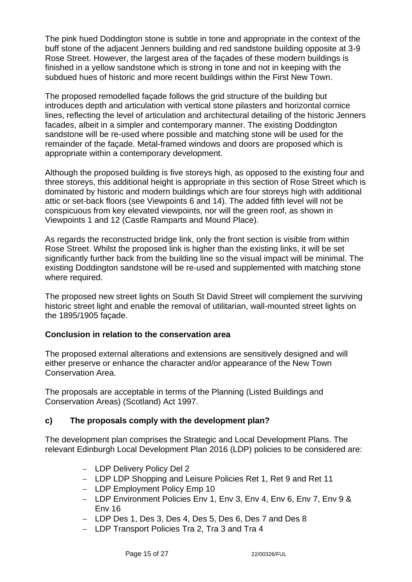The pink hued Doddington stone is subtle in tone and appropriate in the context of the buff stone of the adjacent Jenners building and red sandstone building opposite at 3-9 Rose Street. However, the largest area of the façades of these modern buildings is finished in a yellow sandstone which is strong in tone and not in keeping with the subdued hues of historic and more recent buildings within the First New Town.

The proposed remodelled façade follows the grid structure of the building but introduces depth and articulation with vertical stone pilasters and horizontal cornice lines, reflecting the level of articulation and architectural detailing of the historic Jenners facades, albeit in a simpler and contemporary manner. The existing Doddington sandstone will be re-used where possible and matching stone will be used for the remainder of the façade. Metal-framed windows and doors are proposed which is appropriate within a contemporary development.

Although the proposed building is five storeys high, as opposed to the existing four and three storeys, this additional height is appropriate in this section of Rose Street which is dominated by historic and modern buildings which are four storeys high with additional attic or set-back floors (see Viewpoints 6 and 14). The added fifth level will not be conspicuous from key elevated viewpoints, nor will the green roof, as shown in Viewpoints 1 and 12 (Castle Ramparts and Mound Place).

As regards the reconstructed bridge link, only the front section is visible from within Rose Street. Whilst the proposed link is higher than the existing links, it will be set significantly further back from the building line so the visual impact will be minimal. The existing Doddington sandstone will be re-used and supplemented with matching stone where required.

The proposed new street lights on South St David Street will complement the surviving historic street light and enable the removal of utilitarian, wall-mounted street lights on the 1895/1905 façade.

### **Conclusion in relation to the conservation area**

The proposed external alterations and extensions are sensitively designed and will either preserve or enhance the character and/or appearance of the New Town Conservation Area.

The proposals are acceptable in terms of the Planning (Listed Buildings and Conservation Areas) (Scotland) Act 1997.

## **c) The proposals comply with the development plan?**

The development plan comprises the Strategic and Local Development Plans. The relevant Edinburgh Local Development Plan 2016 (LDP) policies to be considered are:

- − LDP Delivery Policy Del 2
- − LDP LDP Shopping and Leisure Policies Ret 1, Ret 9 and Ret 11
- − LDP Employment Policy Emp 10
- − LDP Environment Policies Env 1, Env 3, Env 4, Env 6, Env 7, Env 9 & Env 16
- − LDP Des 1, Des 3, Des 4, Des 5, Des 6, Des 7 and Des 8
- − LDP Transport Policies Tra 2, Tra 3 and Tra 4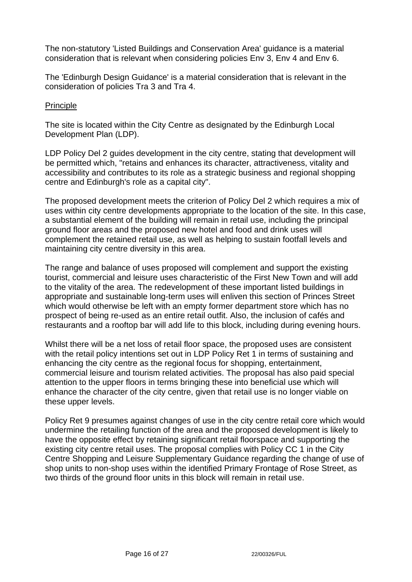The non-statutory 'Listed Buildings and Conservation Area' guidance is a material consideration that is relevant when considering policies Env 3, Env 4 and Env 6.

The 'Edinburgh Design Guidance' is a material consideration that is relevant in the consideration of policies Tra 3 and Tra 4.

### Principle

The site is located within the City Centre as designated by the Edinburgh Local Development Plan (LDP).

LDP Policy Del 2 guides development in the city centre, stating that development will be permitted which, "retains and enhances its character, attractiveness, vitality and accessibility and contributes to its role as a strategic business and regional shopping centre and Edinburgh's role as a capital city".

The proposed development meets the criterion of Policy Del 2 which requires a mix of uses within city centre developments appropriate to the location of the site. In this case, a substantial element of the building will remain in retail use, including the principal ground floor areas and the proposed new hotel and food and drink uses will complement the retained retail use, as well as helping to sustain footfall levels and maintaining city centre diversity in this area.

The range and balance of uses proposed will complement and support the existing tourist, commercial and leisure uses characteristic of the First New Town and will add to the vitality of the area. The redevelopment of these important listed buildings in appropriate and sustainable long-term uses will enliven this section of Princes Street which would otherwise be left with an empty former department store which has no prospect of being re-used as an entire retail outfit. Also, the inclusion of cafés and restaurants and a rooftop bar will add life to this block, including during evening hours.

Whilst there will be a net loss of retail floor space, the proposed uses are consistent with the retail policy intentions set out in LDP Policy Ret 1 in terms of sustaining and enhancing the city centre as the regional focus for shopping, entertainment, commercial leisure and tourism related activities. The proposal has also paid special attention to the upper floors in terms bringing these into beneficial use which will enhance the character of the city centre, given that retail use is no longer viable on these upper levels.

Policy Ret 9 presumes against changes of use in the city centre retail core which would undermine the retailing function of the area and the proposed development is likely to have the opposite effect by retaining significant retail floorspace and supporting the existing city centre retail uses. The proposal complies with Policy CC 1 in the City Centre Shopping and Leisure Supplementary Guidance regarding the change of use of shop units to non-shop uses within the identified Primary Frontage of Rose Street, as two thirds of the ground floor units in this block will remain in retail use.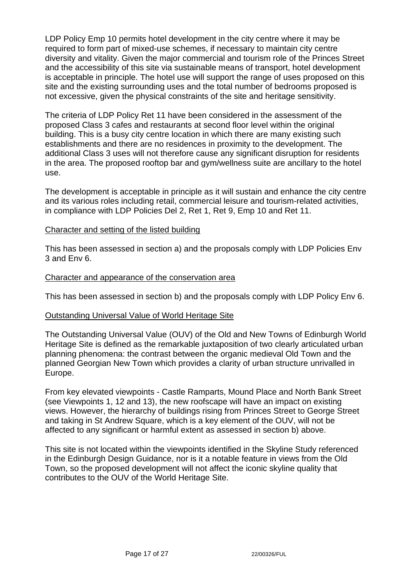LDP Policy Emp 10 permits hotel development in the city centre where it may be required to form part of mixed-use schemes, if necessary to maintain city centre diversity and vitality. Given the major commercial and tourism role of the Princes Street and the accessibility of this site via sustainable means of transport, hotel development is acceptable in principle. The hotel use will support the range of uses proposed on this site and the existing surrounding uses and the total number of bedrooms proposed is not excessive, given the physical constraints of the site and heritage sensitivity.

The criteria of LDP Policy Ret 11 have been considered in the assessment of the proposed Class 3 cafes and restaurants at second floor level within the original building. This is a busy city centre location in which there are many existing such establishments and there are no residences in proximity to the development. The additional Class 3 uses will not therefore cause any significant disruption for residents in the area. The proposed rooftop bar and gym/wellness suite are ancillary to the hotel use.

The development is acceptable in principle as it will sustain and enhance the city centre and its various roles including retail, commercial leisure and tourism-related activities, in compliance with LDP Policies Del 2, Ret 1, Ret 9, Emp 10 and Ret 11.

### Character and setting of the listed building

This has been assessed in section a) and the proposals comply with LDP Policies Env 3 and Env 6.

### Character and appearance of the conservation area

This has been assessed in section b) and the proposals comply with LDP Policy Env 6.

### Outstanding Universal Value of World Heritage Site

The Outstanding Universal Value (OUV) of the Old and New Towns of Edinburgh World Heritage Site is defined as the remarkable juxtaposition of two clearly articulated urban planning phenomena: the contrast between the organic medieval Old Town and the planned Georgian New Town which provides a clarity of urban structure unrivalled in Europe.

From key elevated viewpoints - Castle Ramparts, Mound Place and North Bank Street (see Viewpoints 1, 12 and 13), the new roofscape will have an impact on existing views. However, the hierarchy of buildings rising from Princes Street to George Street and taking in St Andrew Square, which is a key element of the OUV, will not be affected to any significant or harmful extent as assessed in section b) above.

This site is not located within the viewpoints identified in the Skyline Study referenced in the Edinburgh Design Guidance, nor is it a notable feature in views from the Old Town, so the proposed development will not affect the iconic skyline quality that contributes to the OUV of the World Heritage Site.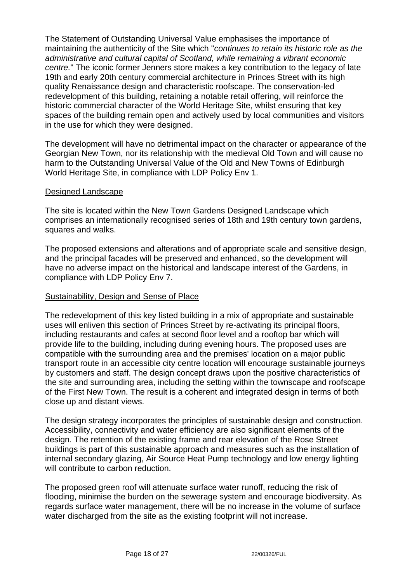The Statement of Outstanding Universal Value emphasises the importance of maintaining the authenticity of the Site which "*continues to retain its historic role as the administrative and cultural capital of Scotland, while remaining a vibrant economic centre.*" The iconic former Jenners store makes a key contribution to the legacy of late 19th and early 20th century commercial architecture in Princes Street with its high quality Renaissance design and characteristic roofscape. The conservation-led redevelopment of this building, retaining a notable retail offering, will reinforce the historic commercial character of the World Heritage Site, whilst ensuring that key spaces of the building remain open and actively used by local communities and visitors in the use for which they were designed.

The development will have no detrimental impact on the character or appearance of the Georgian New Town, nor its relationship with the medieval Old Town and will cause no harm to the Outstanding Universal Value of the Old and New Towns of Edinburgh World Heritage Site, in compliance with LDP Policy Env 1.

### Designed Landscape

The site is located within the New Town Gardens Designed Landscape which comprises an internationally recognised series of 18th and 19th century town gardens, squares and walks.

The proposed extensions and alterations and of appropriate scale and sensitive design, and the principal facades will be preserved and enhanced, so the development will have no adverse impact on the historical and landscape interest of the Gardens, in compliance with LDP Policy Env 7.

### **Sustainability, Design and Sense of Place**

The redevelopment of this key listed building in a mix of appropriate and sustainable uses will enliven this section of Princes Street by re-activating its principal floors, including restaurants and cafes at second floor level and a rooftop bar which will provide life to the building, including during evening hours. The proposed uses are compatible with the surrounding area and the premises' location on a major public transport route in an accessible city centre location will encourage sustainable journeys by customers and staff. The design concept draws upon the positive characteristics of the site and surrounding area, including the setting within the townscape and roofscape of the First New Town. The result is a coherent and integrated design in terms of both close up and distant views.

The design strategy incorporates the principles of sustainable design and construction. Accessibility, connectivity and water efficiency are also significant elements of the design. The retention of the existing frame and rear elevation of the Rose Street buildings is part of this sustainable approach and measures such as the installation of internal secondary glazing, Air Source Heat Pump technology and low energy lighting will contribute to carbon reduction.

The proposed green roof will attenuate surface water runoff, reducing the risk of flooding, minimise the burden on the sewerage system and encourage biodiversity. As regards surface water management, there will be no increase in the volume of surface water discharged from the site as the existing footprint will not increase.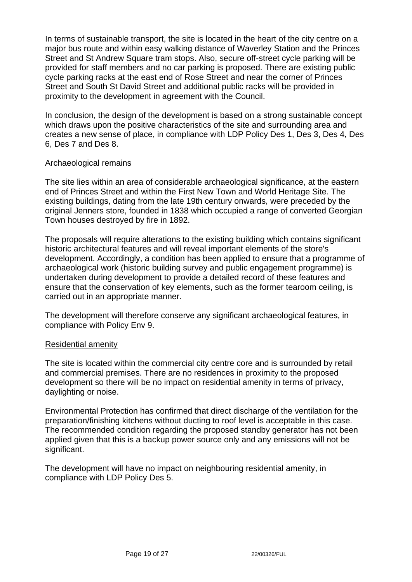In terms of sustainable transport, the site is located in the heart of the city centre on a major bus route and within easy walking distance of Waverley Station and the Princes Street and St Andrew Square tram stops. Also, secure off-street cycle parking will be provided for staff members and no car parking is proposed. There are existing public cycle parking racks at the east end of Rose Street and near the corner of Princes Street and South St David Street and additional public racks will be provided in proximity to the development in agreement with the Council.

In conclusion, the design of the development is based on a strong sustainable concept which draws upon the positive characteristics of the site and surrounding area and creates a new sense of place, in compliance with LDP Policy Des 1, Des 3, Des 4, Des 6, Des 7 and Des 8.

### Archaeological remains

The site lies within an area of considerable archaeological significance, at the eastern end of Princes Street and within the First New Town and World Heritage Site. The existing buildings, dating from the late 19th century onwards, were preceded by the original Jenners store, founded in 1838 which occupied a range of converted Georgian Town houses destroyed by fire in 1892.

The proposals will require alterations to the existing building which contains significant historic architectural features and will reveal important elements of the store's development. Accordingly, a condition has been applied to ensure that a programme of archaeological work (historic building survey and public engagement programme) is undertaken during development to provide a detailed record of these features and ensure that the conservation of key elements, such as the former tearoom ceiling, is carried out in an appropriate manner.

The development will therefore conserve any significant archaeological features, in compliance with Policy Env 9.

### Residential amenity

The site is located within the commercial city centre core and is surrounded by retail and commercial premises. There are no residences in proximity to the proposed development so there will be no impact on residential amenity in terms of privacy, daylighting or noise.

Environmental Protection has confirmed that direct discharge of the ventilation for the preparation/finishing kitchens without ducting to roof level is acceptable in this case. The recommended condition regarding the proposed standby generator has not been applied given that this is a backup power source only and any emissions will not be significant.

The development will have no impact on neighbouring residential amenity, in compliance with LDP Policy Des 5.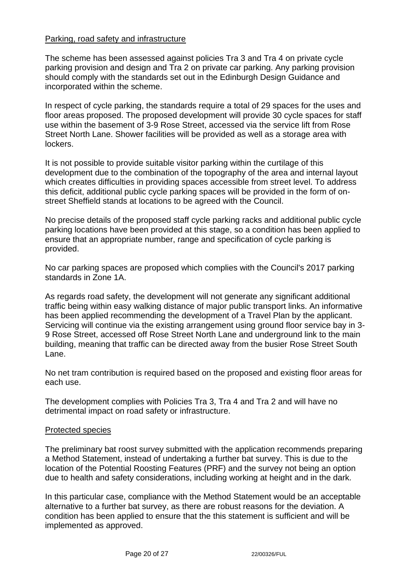### Parking, road safety and infrastructure

The scheme has been assessed against policies Tra 3 and Tra 4 on private cycle parking provision and design and Tra 2 on private car parking. Any parking provision should comply with the standards set out in the Edinburgh Design Guidance and incorporated within the scheme.

In respect of cycle parking, the standards require a total of 29 spaces for the uses and floor areas proposed. The proposed development will provide 30 cycle spaces for staff use within the basement of 3-9 Rose Street, accessed via the service lift from Rose Street North Lane. Shower facilities will be provided as well as a storage area with lockers.

It is not possible to provide suitable visitor parking within the curtilage of this development due to the combination of the topography of the area and internal layout which creates difficulties in providing spaces accessible from street level. To address this deficit, additional public cycle parking spaces will be provided in the form of onstreet Sheffield stands at locations to be agreed with the Council.

No precise details of the proposed staff cycle parking racks and additional public cycle parking locations have been provided at this stage, so a condition has been applied to ensure that an appropriate number, range and specification of cycle parking is provided.

No car parking spaces are proposed which complies with the Council's 2017 parking standards in Zone 1A.

As regards road safety, the development will not generate any significant additional traffic being within easy walking distance of major public transport links. An informative has been applied recommending the development of a Travel Plan by the applicant. Servicing will continue via the existing arrangement using ground floor service bay in 3- 9 Rose Street, accessed off Rose Street North Lane and underground link to the main building, meaning that traffic can be directed away from the busier Rose Street South Lane.

No net tram contribution is required based on the proposed and existing floor areas for each use.

The development complies with Policies Tra 3, Tra 4 and Tra 2 and will have no detrimental impact on road safety or infrastructure.

### Protected species

The preliminary bat roost survey submitted with the application recommends preparing a Method Statement, instead of undertaking a further bat survey. This is due to the location of the Potential Roosting Features (PRF) and the survey not being an option due to health and safety considerations, including working at height and in the dark.

In this particular case, compliance with the Method Statement would be an acceptable alternative to a further bat survey, as there are robust reasons for the deviation. A condition has been applied to ensure that the this statement is sufficient and will be implemented as approved.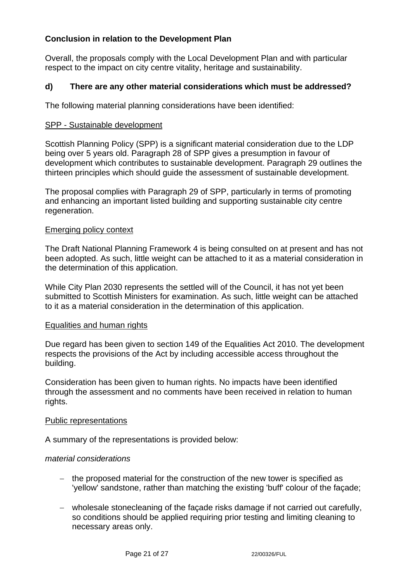## **Conclusion in relation to the Development Plan**

Overall, the proposals comply with the Local Development Plan and with particular respect to the impact on city centre vitality, heritage and sustainability.

## **d) There are any other material considerations which must be addressed?**

The following material planning considerations have been identified:

#### SPP - Sustainable development

Scottish Planning Policy (SPP) is a significant material consideration due to the LDP being over 5 years old. Paragraph 28 of SPP gives a presumption in favour of development which contributes to sustainable development. Paragraph 29 outlines the thirteen principles which should guide the assessment of sustainable development.

The proposal complies with Paragraph 29 of SPP, particularly in terms of promoting and enhancing an important listed building and supporting sustainable city centre regeneration.

#### Emerging policy context

The Draft National Planning Framework 4 is being consulted on at present and has not been adopted. As such, little weight can be attached to it as a material consideration in the determination of this application.

While City Plan 2030 represents the settled will of the Council, it has not yet been submitted to Scottish Ministers for examination. As such, little weight can be attached to it as a material consideration in the determination of this application.

### Equalities and human rights

Due regard has been given to section 149 of the Equalities Act 2010. The development respects the provisions of the Act by including accessible access throughout the building.

Consideration has been given to human rights. No impacts have been identified through the assessment and no comments have been received in relation to human rights.

#### Public representations

A summary of the representations is provided below:

#### *material considerations*

- − the proposed material for the construction of the new tower is specified as 'yellow' sandstone, rather than matching the existing 'buff' colour of the façade;
- − wholesale stonecleaning of the façade risks damage if not carried out carefully, so conditions should be applied requiring prior testing and limiting cleaning to necessary areas only.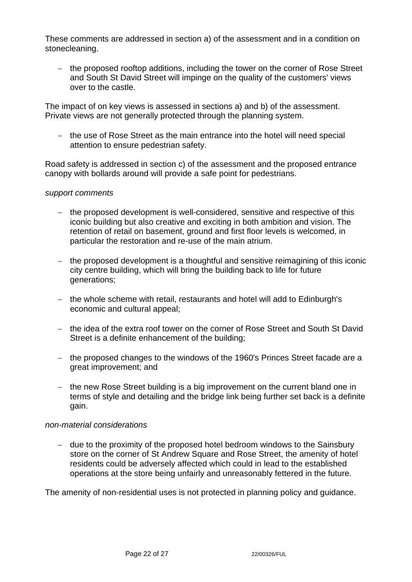These comments are addressed in section a) of the assessment and in a condition on stonecleaning.

− the proposed rooftop additions, including the tower on the corner of Rose Street and South St David Street will impinge on the quality of the customers' views over to the castle.

The impact of on key views is assessed in sections a) and b) of the assessment. Private views are not generally protected through the planning system.

− the use of Rose Street as the main entrance into the hotel will need special attention to ensure pedestrian safety.

Road safety is addressed in section c) of the assessment and the proposed entrance canopy with bollards around will provide a safe point for pedestrians.

#### *support comments*

- − the proposed development is well-considered, sensitive and respective of this iconic building but also creative and exciting in both ambition and vision. The retention of retail on basement, ground and first floor levels is welcomed, in particular the restoration and re-use of the main atrium.
- − the proposed development is a thoughtful and sensitive reimagining of this iconic city centre building, which will bring the building back to life for future generations;
- − the whole scheme with retail, restaurants and hotel will add to Edinburgh's economic and cultural appeal;
- − the idea of the extra roof tower on the corner of Rose Street and South St David Street is a definite enhancement of the building;
- − the proposed changes to the windows of the 1960's Princes Street facade are a great improvement; and
- − the new Rose Street building is a big improvement on the current bland one in terms of style and detailing and the bridge link being further set back is a definite gain.

#### *non-material considerations*

− due to the proximity of the proposed hotel bedroom windows to the Sainsbury store on the corner of St Andrew Square and Rose Street, the amenity of hotel residents could be adversely affected which could in lead to the established operations at the store being unfairly and unreasonably fettered in the future.

The amenity of non-residential uses is not protected in planning policy and guidance.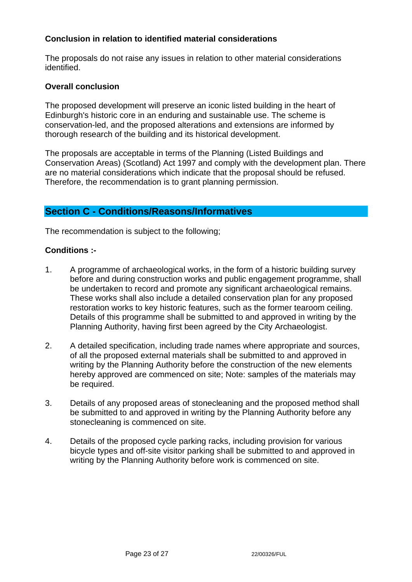## **Conclusion in relation to identified material considerations**

The proposals do not raise any issues in relation to other material considerations identified.

### **Overall conclusion**

The proposed development will preserve an iconic listed building in the heart of Edinburgh's historic core in an enduring and sustainable use. The scheme is conservation-led, and the proposed alterations and extensions are informed by thorough research of the building and its historical development.

The proposals are acceptable in terms of the Planning (Listed Buildings and Conservation Areas) (Scotland) Act 1997 and comply with the development plan. There are no material considerations which indicate that the proposal should be refused. Therefore, the recommendation is to grant planning permission.

# **Section C - Conditions/Reasons/Informatives**

The recommendation is subject to the following;

## **Conditions :-**

- 1. A programme of archaeological works, in the form of a historic building survey before and during construction works and public engagement programme, shall be undertaken to record and promote any significant archaeological remains. These works shall also include a detailed conservation plan for any proposed restoration works to key historic features, such as the former tearoom ceiling. Details of this programme shall be submitted to and approved in writing by the Planning Authority, having first been agreed by the City Archaeologist.
- 2. A detailed specification, including trade names where appropriate and sources, of all the proposed external materials shall be submitted to and approved in writing by the Planning Authority before the construction of the new elements hereby approved are commenced on site; Note: samples of the materials may be required.
- 3. Details of any proposed areas of stonecleaning and the proposed method shall be submitted to and approved in writing by the Planning Authority before any stonecleaning is commenced on site.
- 4. Details of the proposed cycle parking racks, including provision for various bicycle types and off-site visitor parking shall be submitted to and approved in writing by the Planning Authority before work is commenced on site.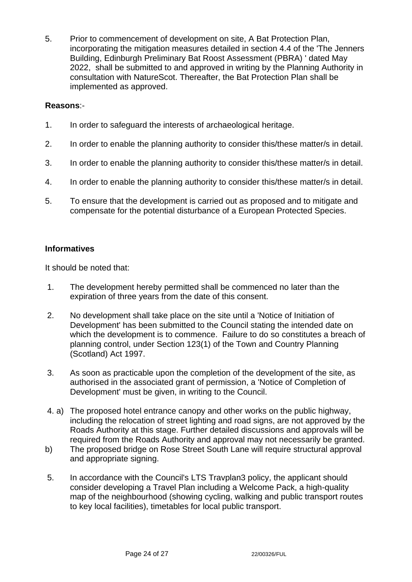5. Prior to commencement of development on site, A Bat Protection Plan, incorporating the mitigation measures detailed in section 4.4 of the 'The Jenners Building, Edinburgh Preliminary Bat Roost Assessment (PBRA) ' dated May 2022, shall be submitted to and approved in writing by the Planning Authority in consultation with NatureScot. Thereafter, the Bat Protection Plan shall be implemented as approved.

### **Reasons**:-

- 1. In order to safeguard the interests of archaeological heritage.
- 2. In order to enable the planning authority to consider this/these matter/s in detail.
- 3. In order to enable the planning authority to consider this/these matter/s in detail.
- 4. In order to enable the planning authority to consider this/these matter/s in detail.
- 5. To ensure that the development is carried out as proposed and to mitigate and compensate for the potential disturbance of a European Protected Species.

## **Informatives**

It should be noted that:

- 1. The development hereby permitted shall be commenced no later than the expiration of three years from the date of this consent.
- 2. No development shall take place on the site until a 'Notice of Initiation of Development' has been submitted to the Council stating the intended date on which the development is to commence. Failure to do so constitutes a breach of planning control, under Section 123(1) of the Town and Country Planning (Scotland) Act 1997.
- 3. As soon as practicable upon the completion of the development of the site, as authorised in the associated grant of permission, a 'Notice of Completion of Development' must be given, in writing to the Council.
- 4. a) The proposed hotel entrance canopy and other works on the public highway, including the relocation of street lighting and road signs, are not approved by the Roads Authority at this stage. Further detailed discussions and approvals will be required from the Roads Authority and approval may not necessarily be granted.
- b) The proposed bridge on Rose Street South Lane will require structural approval and appropriate signing.
- 5. In accordance with the Council's LTS Travplan3 policy, the applicant should consider developing a Travel Plan including a Welcome Pack, a high-quality map of the neighbourhood (showing cycling, walking and public transport routes to key local facilities), timetables for local public transport.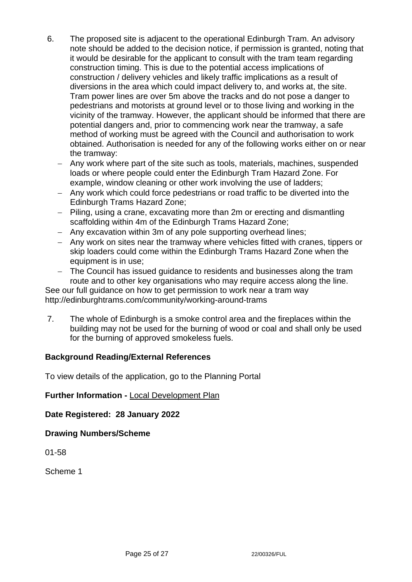- 6. The proposed site is adjacent to the operational Edinburgh Tram. An advisory note should be added to the decision notice, if permission is granted, noting that it would be desirable for the applicant to consult with the tram team regarding construction timing. This is due to the potential access implications of construction / delivery vehicles and likely traffic implications as a result of diversions in the area which could impact delivery to, and works at, the site. Tram power lines are over 5m above the tracks and do not pose a danger to pedestrians and motorists at ground level or to those living and working in the vicinity of the tramway. However, the applicant should be informed that there are potential dangers and, prior to commencing work near the tramway, a safe method of working must be agreed with the Council and authorisation to work obtained. Authorisation is needed for any of the following works either on or near the tramway:
	- Any work where part of the site such as tools, materials, machines, suspended loads or where people could enter the Edinburgh Tram Hazard Zone. For example, window cleaning or other work involving the use of ladders;
	- − Any work which could force pedestrians or road traffic to be diverted into the Edinburgh Trams Hazard Zone;
	- − Piling, using a crane, excavating more than 2m or erecting and dismantling scaffolding within 4m of the Edinburgh Trams Hazard Zone;
	- − Any excavation within 3m of any pole supporting overhead lines;
	- − Any work on sites near the tramway where vehicles fitted with cranes, tippers or skip loaders could come within the Edinburgh Trams Hazard Zone when the equipment is in use;
	- The Council has issued guidance to residents and businesses along the tram route and to other key organisations who may require access along the line.

See our full guidance on how to get permission to work near a tram way http://edinburghtrams.com/community/working-around-trams

7. The whole of Edinburgh is a smoke control area and the fireplaces within the building may not be used for the burning of wood or coal and shall only be used for the burning of approved smokeless fuels.

## **Background Reading/External References**

To view details of the application, go to the Planning Portal

### **Further Information -** [Local Development Plan](https://www.edinburgh.gov.uk/local-development-plan-guidance-1/edinburgh-local-development-plan/1)

**Date Registered: 28 January 2022**

**Drawing Numbers/Scheme**

01-58

Scheme 1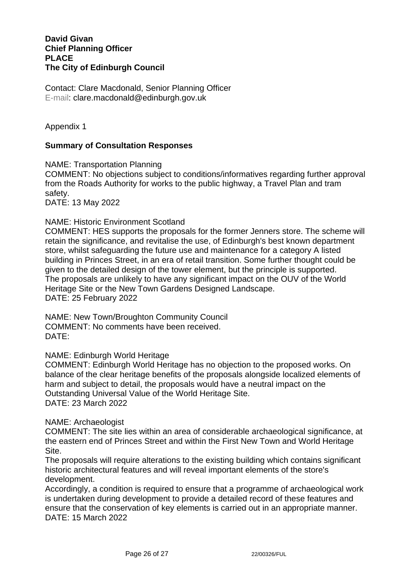#### **David Givan Chief Planning Officer PLACE The City of Edinburgh Council**

Contact: Clare Macdonald, Senior Planning Officer E-mail: clare.macdonald@edinburgh.gov.uk

Appendix 1

#### **Summary of Consultation Responses**

NAME: Transportation Planning COMMENT: No objections subject to conditions/informatives regarding further approval from the Roads Authority for works to the public highway, a Travel Plan and tram safety. DATE: 13 May 2022

#### NAME: Historic Environment Scotland

COMMENT: HES supports the proposals for the former Jenners store. The scheme will retain the significance, and revitalise the use, of Edinburgh's best known department store, whilst safeguarding the future use and maintenance for a category A listed building in Princes Street, in an era of retail transition. Some further thought could be given to the detailed design of the tower element, but the principle is supported. The proposals are unlikely to have any significant impact on the OUV of the World Heritage Site or the New Town Gardens Designed Landscape. DATE: 25 February 2022

NAME: New Town/Broughton Community Council COMMENT: No comments have been received. DATE:

#### NAME: Edinburgh World Heritage

COMMENT: Edinburgh World Heritage has no objection to the proposed works. On balance of the clear heritage benefits of the proposals alongside localized elements of harm and subject to detail, the proposals would have a neutral impact on the Outstanding Universal Value of the World Heritage Site. DATE: 23 March 2022

#### NAME: Archaeologist

COMMENT: The site lies within an area of considerable archaeological significance, at the eastern end of Princes Street and within the First New Town and World Heritage Site.

The proposals will require alterations to the existing building which contains significant historic architectural features and will reveal important elements of the store's development.

Accordingly, a condition is required to ensure that a programme of archaeological work is undertaken during development to provide a detailed record of these features and ensure that the conservation of key elements is carried out in an appropriate manner. DATE: 15 March 2022